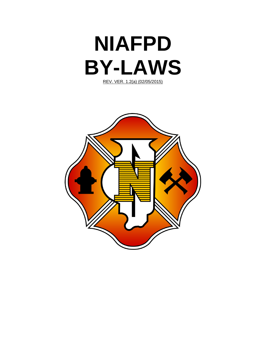

REV. VER. 1.2(a) (02/05/2015)

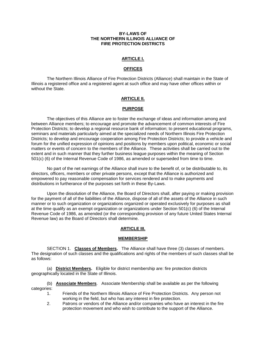### **BY-LAWS OF THE NORTHERN ILLINOIS ALLIANCE OF FIRE PROTECTION DISTRICTS**

# **ARTICLE I.**

### **OFFICES**

The Northern Illinois Alliance of Fire Protection Districts (Alliance) shall maintain in the State of Illinois a registered office and a registered agent at such office and may have other offices within or without the State.

### **ARTICLE II.**

### **PURPOSE**

The objectives of this Alliance are to foster the exchange of ideas and information among and between Alliance members; to encourage and promote the advancement of common interests of Fire Protection Districts; to develop a regional resource bank of information; to present educational programs, seminars and materials particularly aimed at the specialized needs of Northern Illinois Fire Protection Districts; to develop and encourage cooperation among Fire Protection Districts; to provide a vehicle and forum for the unified expression of opinions and positions by members upon political, economic or social matters or events of concern to the members of the Alliance. These activities shall be carried out to the extent and in such manner that they further business league purposes within the meaning of Section 501(c) (6) of the Internal Revenue Code of 1986, as amended or superseded from time to time.

No part of the net earnings of the Alliance shall inure to the benefit of, or be distributable to, its directors, officers, members or other private persons, except that the Alliance is authorized and empowered to pay reasonable compensation for services rendered and to make payments and distributions in furtherance of the purposes set forth in these By-Laws.

Upon the dissolution of the Alliance, the Board of Directors shall, after paying or making provision for the payment of all of the liabilities of the Alliance, dispose of all of the assets of the Alliance in such manner or to such organization or organizations organized or operated exclusively for purposes as shall at the time qualify as an exempt organization or organizations under Section 501(c) (6) of the Internal Revenue Code of 1986, as amended (or the corresponding provision of any future United States Internal Revenue law) as the Board of Directors shall determine.

#### **ARTICLE III.**

### **MEMBERSHIP**

SECTION 1. **Classes of Members.** The Alliance shall have three (3) classes of members. The designation of such classes and the qualifications and rights of the members of such classes shall be as follows:

(a) **District Members.** Eligible for district membership are: fire protection districts geographically located in the State of Illinois.

(b) **Associate Members**. Associate Membership shall be available as per the following categories:

- 1. Friends of the Northern Illinois Alliance of Fire Protection Districts. Any person not working in the field, but who has any interest in fire protection.
- 2. Patrons or vendors of the Alliance and/or companies who have an interest in the fire protection movement and who wish to contribute to the support of the Alliance.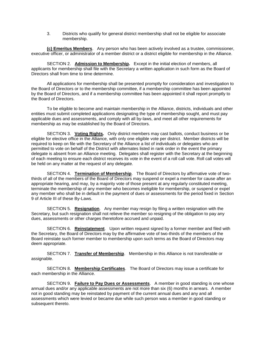3. Districts who qualify for general district membership shall not be eligible for associate membership.

**(c) Emeritus Members**. Any person who has been actively involved as a trustee, commissioner, executive officer, or administrator of a member district or a district eligible for membership in the Alliance.

SECTION 2. **Admission to Membership.** Except in the initial election of members, all applicants for membership shall file with the Secretary a written application in such form as the Board of Directors shall from time to time determine.

All applications for membership shall be presented promptly for consideration and investigation to the Board of Directors or to the membership committee, if a membership committee has been appointed by the Board of Directors, and if a membership committee has been appointed it shall report promptly to the Board of Directors.

To be eligible to become and maintain membership in the Alliance, districts, individuals and other entities must submit completed applications designating the type of membership sought, and must pay applicable dues and assessments, and comply with all by-laws, and meet all other requirements for membership as may be established by the Board of Directors.

SECTION 3. **Voting Rights.** Only district members may cast ballots, conduct business or be eligible for elective office in the Alliance, with only one eligible vote per district. Member districts will be required to keep on file with the Secretary of the Alliance a list of individuals or delegates who are permitted to vote on behalf of the District with alternates listed in rank order in the event the primary delegate is absent from an Alliance meeting. Delegates shall register with the Secretary at the beginning of each meeting to ensure each district receives its vote in the event of a roll call vote. Roll call votes will be held on any matter at the request of any delegate.

SECTION 4. **Termination of Membership**. The Board of Directors by affirmative vote of twothirds of all of the members of the Board of Directors may suspend or expel a member for cause after an appropriate hearing, and may, by a majority vote of those present at any regularly constituted meeting, terminate the membership of any member who becomes ineligible for membership, or suspend or expel any member who shall be in default in the payment of dues or assessments for the period fixed in Section 9 of Article III of these By-Laws.

SECTION 5. **Resignation**. Any member may resign by filing a written resignation with the Secretary, but such resignation shall not relieve the member so resigning of the obligation to pay any dues, assessments or other charges theretofore accrued and unpaid.

SECTION 6. **Reinstatement**. Upon written request signed by a former member and filed with the Secretary, the Board of Directors may by the affirmative vote of two-thirds of the members of the Board reinstate such former member to membership upon such terms as the Board of Directors may deem appropriate.

SECTION 7. **Transfer of Membership**. Membership in this Alliance is not transferable or assignable.

SECTION 8. **Membership Certificates**. The Board of Directors may issue a certificate for each membership in the Alliance.

SECTION 9. **Failure to Pay Dues or Assessments**. A member in good standing is one whose annual dues and/or any applicable assessments are not more than six (6) months in arrears. A member not in good standing may be reinstated by payment of the current annual dues and any and all assessments which were levied or became due while such person was a member in good standing or subsequent thereto.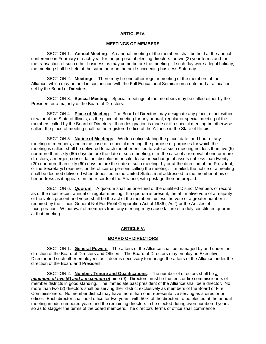# **ARTICLE IV.**

#### **MEETINGS OF MEMBERS**

SECTION 1. **Annual Meeting**. An annual meeting of the members shall be held at the annual conference in February of each year for the purpose of electing directors for two (2) year terms and for the transaction of such other business as may come before the meeting. If such day were a legal holiday, the meeting shall be held at the same hour on the next succeeding business Saturday.

SECTION 2. **Meetings**. There may be one other regular meeting of the members of the Alliance, which may be held in conjunction with the Fall Educational Seminar on a date and at a location set by the Board of Directors.

SECTION 3. **Special Meeting**. Special meetings of the members may be called either by the President or a majority of the Board of Directors.

SECTION 4. **Place of Meeting**. The Board of Directors may designate any place, either within or without the State of Illinois, as the place of meeting for any annual, regular or special meeting of the members called by the Board of Directors. If no designation is made or if a special meeting be otherwise called, the place of meeting shall be the registered office of the Alliance in the State of Illinois.

SECTION 5. **Notice of Meetings**. Written notice stating the place, date, and hour of any meeting of members, and in the case of a special meeting, the purpose or purposes for which the meeting is called, shall be delivered to each member entitled to vote at such meeting not less than five (5) nor more than sixty (60) days before the date of such meeting, or in the case of a removal of one or more directors, a merger, consolidation, dissolution or sale, lease or exchange of assets not less than twenty (20) nor more than sixty (60) days before the date of such meeting, by or at the direction of the President, or the Secretary/Treasurer, or the officer or persons calling the meeting. If mailed, the notice of a meeting shall be deemed delivered when deposited in the United States mail addressed to the member at his or her address as it appears on the records of the Alliance, with postage thereon prepaid.

SECTION 6. **Quorum**. A quorum shall be one-third of the qualified District Members of record as of the most recent annual or regular meeting. If a quorum is present, the affirmative vote of a majority of the votes present and voted shall be the act of the members, unless the vote of a greater number is required by the Illinois General Not For Profit Corporation Act of 1986 ("Act") or the Articles of Incorporation. Withdrawal of members from any meeting may cause failure of a duly constituted quorum at that meeting.

## **ARTICLE V.**

## **BOARD OF DIRECTORS**

SECTION 1. **General Powers**. The affairs of the Alliance shall be managed by and under the direction of the Board of Directors and Officers. The Board of Directors may employ an Executive Director and such other employees as it deems necessary to manage the affairs of the Alliance under the direction of the Board and President.

SECTION 2. **Number, Tenure and Qualifications**. The number of directors shall be *a minimum of five (5) and a maximum of* nine (9). Directors must be trustees or fire commissioners of member districts in good standing. The immediate past president of the Alliance shall be a director. No more than two (2) directors shall be serving their district exclusively as members of the Board of Fire Commissioners. No member district may have more than one representative serving as a director or officer. Each director shall hold office for two years, with 50% of the directors to be elected at the annual meeting in odd numbered years and the remaining directors to be elected during even numbered years so as to stagger the terms of the board members. The directors' terms of office shall commence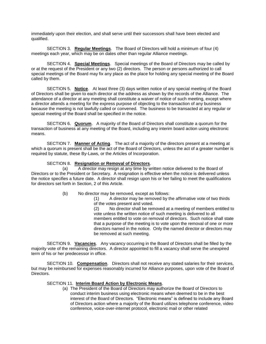immediately upon their election, and shall serve until their successors shall have been elected and qualified.

SECTION 3. **Regular Meetings**. The Board of Directors will hold a minimum of four (4) meetings each year, which may be on dates other than regular Alliance meetings.

SECTION 4. **Special Meetings**. Special meetings of the Board of Directors may be called by or at the request of the President or any two (2) directors. The person or persons authorized to call special meetings of the Board may fix any place as the place for holding any special meeting of the Board called by them.

SECTION 5. **Notice**. At least three (3) days written notice of any special meeting of the Board of Directors shall be given to each director at the address as shown by the records of the Alliance. The attendance of a director at any meeting shall constitute a waiver of notice of such meeting, except where a director attends a meeting for the express purpose of objecting to the transaction of any business because the meeting is not lawfully called or convened. The business to be transacted at any regular or special meeting of the Board shall be specified in the notice.

SECTION 6. **Quorum**. A majority of the Board of Directors shall constitute a quorum for the transaction of business at any meeting of the Board, including any interim board action using electronic means.

SECTION 7. **Manner of Acting**. The act of a majority of the directors present at a meeting at which a quorum is present shall be the act of the Board of Directors, unless the act of a greater number is required by statute, these By-Laws, or the Articles of Incorporation.

# SECTION 8. **Resignation or Removal of Directors**.

(a) A director may resign at any time by written notice delivered to the Board of Directors or to the President or Secretary. A resignation is effective when the notice is delivered unless the notice specifies a future date. A director shall resign upon his or her failing to meet the qualifications for directors set forth in Section, 2 of this Article.

- (b) No director may be removed, except as follows:
	- (1) A director may be removed by the affirmative vote of two thirds of the votes present and voted.

(2) No director shall be removed at a meeting of members entitled to vote unless the written notice of such meeting is delivered to all members entitled to vote on removal of directors. Such notice shall state that a purpose of the meeting is to vote upon the removal of one or more directors named in the notice. Only the named director or directors may be removed at such meeting.

SECTION 9. **Vacancies**. Any vacancy occurring in the Board of Directors shall be filled by the majority vote of the remaining directors. IA director appointed to fill a vacancy shall serve the unexpired term of his or her predecessor in office.

SECTION 10. **Compensation**. Directors shall not receive any stated salaries for their services, but may be reimbursed for expenses reasonably incurred for Alliance purposes, upon vote of the Board of **Directors** 

## SECTION 11. **Interim Board Action by Electronic Means**.

(a) The President of the Board of Directors may authorize the Board of Directors to conduct interim business using electronic means when deemed to be in the best interest of the Board of Directors. "Electronic means" is defined to include any Board of Directors action where a majority of the Board utilizes telephone conference, video conference, voice-over-internet protocol, electronic mail or other related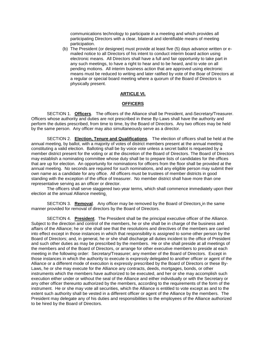communications technology to participate in a meeting and which provides all participating Directors with a clear, bilateral and identifiable means of meeting participation.

(b) The President (or designee) must provide at least five (5) days advance written or emailed notice to all Directors of his intent to conduct interim board action using electronic means. All Directors shall have a full and fair opportunity to take part in any such meetings, to have a right to hear and to be heard, and to vote on all pending motions. All interim business action that are approved using electronic means must be reduced to writing and later ratified by vote of the Boar of Directors at a regular or special board meeting where a quorum of the Board of Directors is physically present.

### **ARTICLE VI.**

#### **OFFICERS**

SECTION 1. **Officers**. The officers of the Alliance shall be President, and Secretary/Treasurer. Officers whose authority and duties are not prescribed in these By-Laws shall have the authority and perform the duties prescribed, from time to time, by the Board of Directors. Any two offices may be held by the same person. Any officer may also simultaneously serve as a director.

SECTION 2. **Election, Tenure and Qualifications**. The election of officers shall be held at the annual meeting, by ballot, with a majority of votes of district members present at the annual meeting constituting a valid election. Balloting shall be by voice vote unless a secret ballot is requested by a member district present for the voting or at the discretion of the Board of Directors. The Board of Directors may establish a nominating committee whose duty shall be to prepare lists of candidates for the offices that are up for election. An opportunity for nominations for officers from the floor shall be provided at the annual meeting. No seconds are required for such nominations, and any eligible person may submit their own name as a candidate for any office. All officers must be trustees of member districts in good standing with the exception of the office of treasurer. No member district shall have more than one representative serving as an officer or director.

The officers shall serve staggered two-year terms, which shall commence immediately upon their election at the annual Alliance meeting.

SECTION 3. **Removal**. Any officer may be removed by the Board of Directors in the same manner provided for removal of directors by the Board of Directors.

SECTION 4. **President**. The President shall be the principal executive officer of the Alliance. Subject to the direction and control of the members, he or she shall be in charge of the business and affairs of the Alliance; he or she shall see that the resolutions and directives of the members are carried into effect except in those instances in which that responsibility is assigned to some other person by the Board of Directors; and, in general, he or she shall discharge all duties incident to the office of President and such other duties as may be prescribed by the members. He or she shall preside at all meetings of the members and of the Board of Directors, or arrange for other executive members to preside at each meeting in the following order: Secretary/Treasurer; any member of the Board of Directors. Except in those instances in which the authority to execute is expressly delegated to another officer or agent of the Alliance or a different mode of execution is expressly prescribed by the Board of Directors or these By-Laws, he or she may execute for the Alliance any contracts, deeds, mortgages, bonds, or other instruments which the members have authorized to be executed, and her or she may accomplish such execution either under or without the seal of the Alliance and either individually or with the Secretary or any other officer thereunto authorized by the members, according to the requirements of the form of the instrument. He or she may vote all securities, which the Alliance is entitled to vote except as and to the extent such authority shall be vested in a different officer or agent of the Alliance by the members. The President may delegate any of his duties and responsibilities to the employees of the Alliance authorized to be hired by the Board of Directors.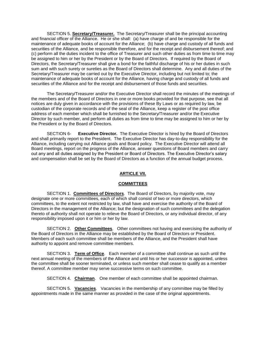SECTION 5. **Secretary/Treasurer.** The Secretary/Treasurer shall be the principal accounting and financial officer of the Alliance. He or she shall: (a) have charge of and be responsible for the maintenance of adequate books of account for the Alliance; (b) have charge and custody of all funds and securities of the Alliance, and be responsible therefore, and for the receipt and disbursement thereof; and (c) perform all the duties incident to the office of Treasurer and such other duties as from time to time may be assigned to him or her by the President or by the Board of Directors. If required by the Board of Directors, the Secretary/Treasurer shall give a bond for the faithful discharge of his or her duties in such sum and with such surety or sureties as the Board of Directors shall determine. Any and all duties of the Secretary/Treasurer may be carried out by the Executive Director, including but not limited to; the maintenance of adequate books of account for the Alliance, having charge and custody of all funds and securities of the Alliance and for the receipt and disbursement of those funds and securities.

The Secretary/Treasurer and/or the Executive Director shall record the minutes of the meetings of the members and of the Board of Directors in one or more books provided for that purpose, see that all notices are duly given in accordance with the provisions of these By Laws or as required by law, be custodian of the corporate records and of the seal of the Alliance, keep a register of the post office address of each member which shall be furnished to the Secretary/Treasurer and/or the Executive Director by such member, and perform all duties as from time to time may be assigned to him or her by the President or by the Board of Directors.

SECTION 6- **Executive Director.** The Executive Director is hired by the Board of Directors and shall primarily report to the President. The Executive Director has day-to-day responsibility for the Alliance, including carrying out Alliance goals and Board policy. The Executive Director will attend all Board meetings, report on the progress of the Alliance, answer questions of Board members and carry out any and all duties assigned by the President or Board of Directors. The Executive Director's salary and compensation shall be set by the Board of Directors as a function of the annual budget process.

## **ARTICLE VII.**

### **COMMITTEES**

SECTION 1. **Committees of Directors**. The Board of Directors, by majority vote, may designate one or more committees, each of which shall consist of two or more directors, which committees, to the extent not restricted by law, shall have and exercise the authority of the Board of Directors in the management of the Alliance; but the designation of such committees and the delegation thereto of authority shall not operate to relieve the Board of Directors, or any individual director, of any responsibility imposed upon it or him or her by law.

SECTION 2. **Other Committees**. Other committees not having and exercising the authority of the Board of Directors in the Alliance may be established by the Board of Directors or President. Members of each such committee shall be members of the Alliance, and the President shall have authority to appoint and remove committee members.

SECTION 3. **Term of Office**. Each member of a committee shall continue as such until the next annual meeting of the members of the Alliance and until his or her successor is appointed, unless the committee shall be sooner terminated, or unless such member shall cease to qualify as a member thereof. A committee member may serve successive terms on such committee.

SECTION 4. **Chairman**. One member of each committee shall be appointed chairman.

SECTION 5. **Vacancies**. Vacancies in the membership of any committee may be filled by appointments made in the same manner as provided in the case of the original appointments.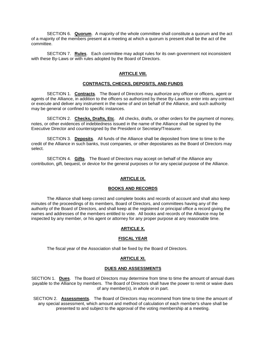SECTION 6. **Quorum**. A majority of the whole committee shall constitute a quorum and the act of a majority of the members present at a meeting at which a quorum is present shall be the act of the committee.

SECTION 7. **Rules**. Each committee may adopt rules for its own government not inconsistent with these By-Laws or with rules adopted by the Board of Directors.

# **ARTICLE VIII.**

# **CONTRACTS, CHECKS, DEPOSITS, AND FUNDS**

SECTION 1. **Contracts**. The Board of Directors may authorize any officer or officers, agent or agents of the Alliance, in addition to the officers so authorized by these By-Laws to enter into any contract or execute and deliver any instrument in the name of and on behalf of the Alliance, and such authority may be general or confined to specific instances.

SECTION 2. **Checks, Drafts, Etc**. All checks, drafts, or other orders for the payment of money, notes, or other evidences of indebtedness issued in the name of the Alliance shall be signed by the Executive Director and countersigned by the President or Secretary/Treasurer.

SECTION 3. **Deposits**. All funds of the Alliance shall be deposited from time to time to the credit of the Alliance in such banks, trust companies, or other depositaries as the Board of Directors may select.

SECTION 4. **Gifts**. The Board of Directors may accept on behalf of the Alliance any contribution, gift, bequest, or device for the general purposes or for any special purpose of the Alliance.

## **ARTICLE IX.**

# **BOOKS AND RECORDS**

The Alliance shall keep correct and complete books and records of account and shall also keep minutes of the proceedings of its members, Board of Directors, and committees having any of the authority of the Board of Directors, and shall keep at the registered or principal office a record giving the names and addresses of the members entitled to vote. All books and records of the Alliance may be inspected by any member, or his agent or attorney for any proper purpose at any reasonable time.

# **ARTICLE X.**

## **FISCAL YEAR**

The fiscal year of the Association shall be fixed by the Board of Directors.

## **ARTICLE XI.**

### **DUES AND ASSESSMENTS**

SECTION 1. **Dues**. The Board of Directors may determine from time to time the amount of annual dues payable to the Alliance by members. The Board of Directors shall have the power to remit or waive dues of any member(s), in whole or in part.

SECTION 2. **Assessments**. The Board of Directors may recommend from time to time the amount of any special assessment, which amount and method of calculation of each member's share shall be presented to and subject to the approval of the voting membership at a meeting.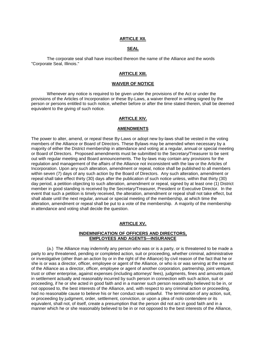## **ARTICLE XII.**

### **SEAL**

The corporate seal shall have inscribed thereon the name of the Alliance and the words "Corporate Seal, Illinois."

# **ARTICLE XIII.**

### **WAIVER OF NOTICE**

Whenever any notice is required to be given under the provisions of the Act or under the provisions of the Articles of Incorporation or these By-Laws, a waiver thereof in writing signed by the person or persons entitled to such notice, whether before or after the time stated therein, shall be deemed equivalent to the giving of such notice.

#### **ARTICLE XIV.**

#### **AMENDMENTS**

The power to alter, amend, or repeal these By-Laws or adopt new by-laws shall be vested in the voting members of the Alliance or Board of Directors. These Bylaws may be amended when necessary by a majority of either the District membership in attendance and voting at a regular, annual or special meeting or Board of Directors. Proposed amendments must be submitted to the Secretary/Treasurer to be sent out with regular meeting and Board announcements. The by-laws may contain any provisions for the regulation and management of the affairs of the Alliance not inconsistent with the law or the Articles of Incorporation. Upon any such alteration, amendment or repeal, notice shall be published to all members within seven (7) days of any such action by the Board of Directors. Any such alteration, amendment or repeal shall take effect thirty (30) days after the publication of such notice unless, within that thirty (30) day period, a petition objecting to such alteration, amendment or repeal, signed by at least one (1) District member in good standing is received by the Secretary/Treasurer, President or Executive Director. In the event that such a petition is timely received, the alteration, amendment or repeal shall not take effect, but shall abate until the next regular, annual or special meeting of the membership, at which time the alteration, amendment or repeal shall be put to a vote of the membership. A majority of the membership in attendance and voting shall decide the question.

#### **ARTICLE XV.**

### **INDEMNIFICATION OF OFFICERS AND DIRECTORS, EMPLOYEES AND AGENTS—INSURANCE**

(a.) The Alliance may indemnify any person who was or is a party, or is threatened to be made a party to any threatened, pending or completed action, suit or proceeding, whether criminal, administrative or investigative (other than an action by or in the right of the Alliance) by civil reason of the fact that he or she is or was a director, officer, employee or agent of the Alliance, or who is or was serving at the request of the Alliance as a director, officer, employee or agent of another corporation, partnership, joint venture, trust or other enterprise, against expenses (including attorneys' fees), judgments, fines and amounts paid in settlement actually and reasonably incurred by such person in connection with such action, suit or proceeding, if he or she acted in good faith and in a manner such person reasonably believed to be in, or not opposed to, the best interests of the Alliance, and, with respect to any criminal action or proceeding, had no reasonable cause to believe his or her conduct was unlawful. The termination of any action, suit, or proceeding by judgment, order, settlement, conviction, or upon a plea of nolo contendere or its equivalent, shall not, of itself, create a presumption that the person did not act in good faith and in a manner which he or she reasonably believed to be in or not opposed to the best interests of the Alliance,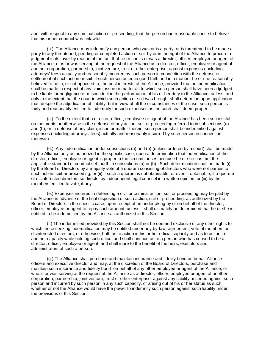and, with respect to any criminal action or proceeding, that the person had reasonable cause to believe that his or her conduct was unlawful.

(b.) The Alliance may indemnify any person who was or is a party, or is threatened to be made a party to any threatened, pending or completed action or suit by or in the right of the Alliance to procure a judgment in its favor by reason of the fact that he or she is or was a director, officer, employee or agent of the Alliance, or is or was serving at the request of the Alliance as a director, officer, employee or agent of another corporation, partnership, joint venture, trust or other enterprise, against expenses (including attorneys' fees) actually and reasonably incurred by such person in connection with the defense or settlement of such action or suit, if such person acted in good faith and in a manner he or she reasonably believed to be in, or not opposed to, the best interests of the Alliance, provided that no indemnification shall be made in respect of any claim, issue or matter as to which such person shall have been adjudged to be liable for negligence or misconduct in the performance of his or her duty to the Alliance, unless, and only to the extent that the court in which such action or suit was brought shall determine upon application that, despite the adjudication of liability, but in view of all the circumstances of the case, such person is fairly and reasonably entitled to indemnity for such expenses as the court shall deem proper.

(c.) To the extent that a director, officer, employee or agent of the Alliance has been successful, on the merits or otherwise in the defense of any action, suit or proceeding referred to in subsections (a) and (b), or in defense of any claim, issue or matter therein, such person shall be indemnified against expenses (including attorneys' fees) actually and reasonably incurred by such person in connection therewith.

(d.) Any indemnification under subsections (a) and (b) (unless ordered by a court) shall be made by the Alliance only as authorized in the specific case, upon a determination that indemnification of the director, officer, employee or agent is proper in the circumstances because he or she has met the applicable standard of conduct set fourth in subsections (a) or (b). Such determination shall be made (i) by the Board of Directors by a majority vote of a quorum consisting of directors who were not parties to such action, suit or proceeding, or (ii) if such a quorum is not obtainable, or even if obtainable, if a quorum of disinterested directors so directs, by independent legal counsel in a written opinion, or (iii) by the members entitled to vote, if any.

(e.) Expenses incurred in defending a civil or criminal action, suit or proceeding may be paid by the Alliance in advance of the final disposition of such action, suit or proceeding, as authorized by the Board of Directors in the specific case, upon receipt of an undertaking by or on behalf of the director, officer, employee or agent to repay such amount, unless it shall ultimately be determined that he or she is entitled to be indemnified by the Alliance as authorized in this Section.

(f.) The indemnified provided by this Section shall not be deemed exclusive of any other rights to which those seeking indemnification may be entitled under any by-law, agreement, vote of members or disinterested directors, or otherwise, both as to action in his or her official capacity and as to action in another capacity while holding such office, and shall continue as to a person who has ceased to be a director, officer, employee or agent, and shall inure to the benefit of the heirs, executors and administrators of such a person.

(g.) The Alliance shall purchase and maintain insurance and fidelity bond on behalf Alliance officers and executive director and may, at the discretion of the Board of Directors, purchase and maintain such insurance and fidelity bond on behalf of any other employee or agent of the Alliance, or who is or was serving at the request of the Alliance as a director, officer, employee or agent of another corporation, partnership, joint venture, trust or other enterprise, against any liability asserted against such person and incurred by such person in any such capacity, or arising out of his or her status as such, whether or not the Alliance would have the power to indemnify such person against such liability under the provisions of this Section.